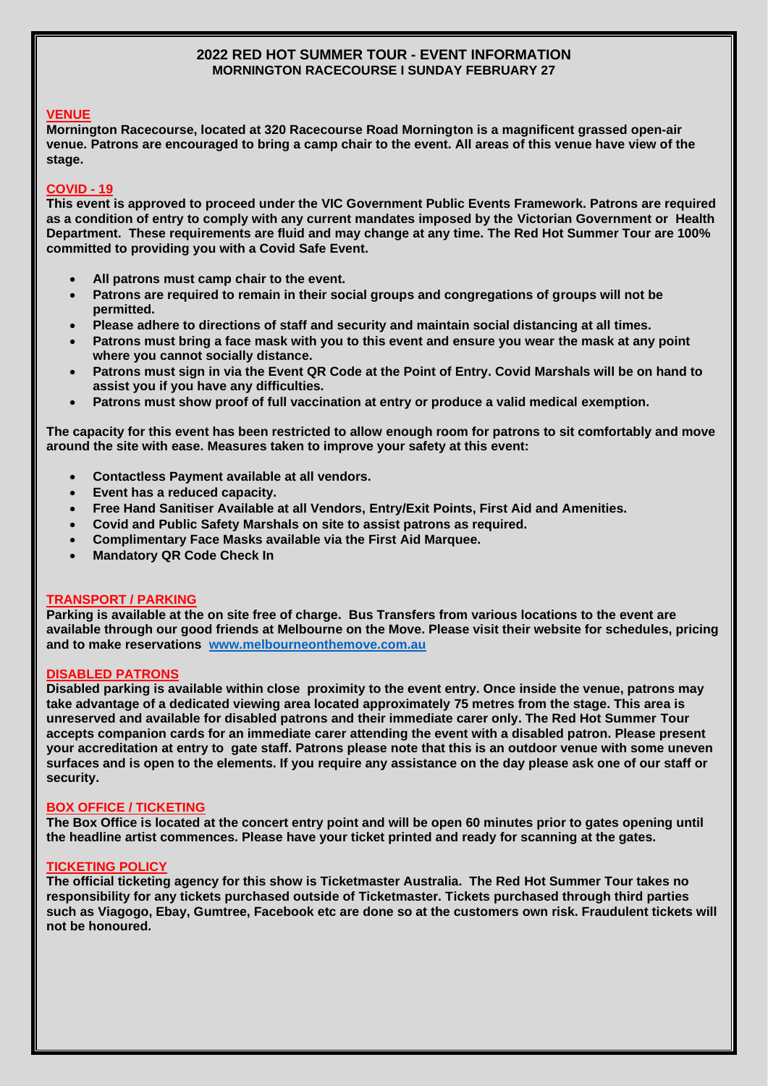# **2022 RED HOT SUMMER TOUR - EVENT INFORMATION MORNINGTON RACECOURSE I SUNDAY FEBRUARY 27**

# **VENUE**

**Mornington Racecourse, located at 320 Racecourse Road Mornington is a magnificent grassed open-air venue. Patrons are encouraged to bring a camp chair to the event. All areas of this venue have view of the stage.**

# **COVID - 19**

**This event is approved to proceed under the VIC Government Public Events Framework. Patrons are required as a condition of entry to comply with any current mandates imposed by the Victorian Government or Health Department. These requirements are fluid and may change at any time. The Red Hot Summer Tour are 100% committed to providing you with a Covid Safe Event.** 

- **All patrons must camp chair to the event.**
- **Patrons are required to remain in their social groups and congregations of groups will not be permitted.**
- **Please adhere to directions of staff and security and maintain social distancing at all times.**
- **Patrons must bring a face mask with you to this event and ensure you wear the mask at any point where you cannot socially distance.**
- **Patrons must sign in via the Event QR Code at the Point of Entry. Covid Marshals will be on hand to assist you if you have any difficulties.**
- **Patrons must show proof of full vaccination at entry or produce a valid medical exemption.**

**The capacity for this event has been restricted to allow enough room for patrons to sit comfortably and move around the site with ease. Measures taken to improve your safety at this event:**

- **Contactless Payment available at all vendors.**
- **Event has a reduced capacity.**
- **Free Hand Sanitiser Available at all Vendors, Entry/Exit Points, First Aid and Amenities.**
- **Covid and Public Safety Marshals on site to assist patrons as required.**
- **Complimentary Face Masks available via the First Aid Marquee.**
- **Mandatory QR Code Check In**

# **TRANSPORT / PARKING**

**Parking is available at the on site free of charge. Bus Transfers from various locations to the event are available through our good friends at Melbourne on the Move. Please visit their website for schedules, pricing and to make reservations [www.melbourneonthemove.com.au](http://www.melbourneonthemove.com.au/)**

# **DISABLED PATRONS**

**Disabled parking is available within close proximity to the event entry. Once inside the venue, patrons may take advantage of a dedicated viewing area located approximately 75 metres from the stage. This area is unreserved and available for disabled patrons and their immediate carer only. The Red Hot Summer Tour accepts companion cards for an immediate carer attending the event with a disabled patron. Please present your accreditation at entry to gate staff. Patrons please note that this is an outdoor venue with some uneven surfaces and is open to the elements. If you require any assistance on the day please ask one of our staff or security.**

## **BOX OFFICE / TICKETING**

**The Box Office is located at the concert entry point and will be open 60 minutes prior to gates opening until the headline artist commences. Please have your ticket printed and ready for scanning at the gates.** 

## **TICKETING POLICY**

**The official ticketing agency for this show is Ticketmaster Australia. The Red Hot Summer Tour takes no responsibility for any tickets purchased outside of Ticketmaster. Tickets purchased through third parties such as Viagogo, Ebay, Gumtree, Facebook etc are done so at the customers own risk. Fraudulent tickets will not be honoured.**